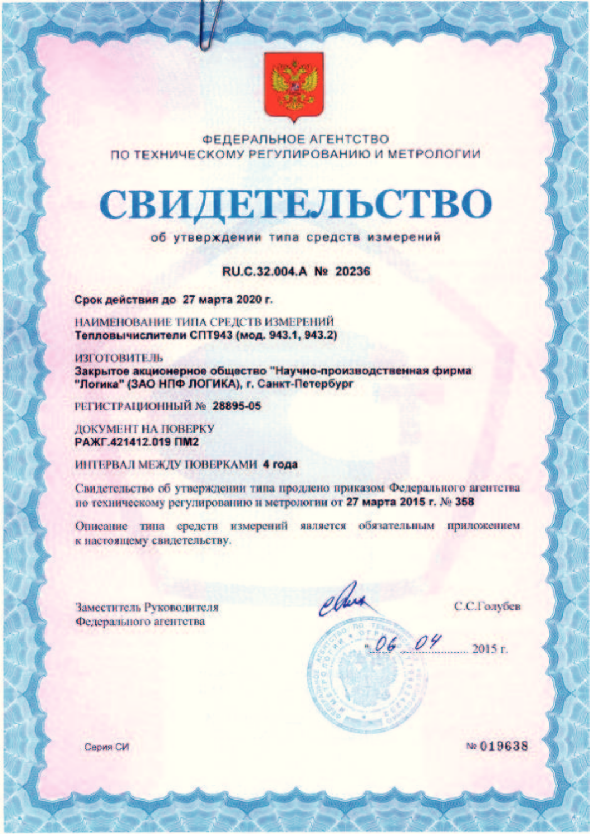

**ФЕДЕРАЛЬНОЕ АГЕНТСТВО** ПО ТЕХНИЧЕСКОМУ РЕГУЛИРОВАНИЮ И МЕТРОЛОГИИ

# **СВИДЕТЕЛЬСТВО**

об утверждении типа средств измерений

RU.C.32.004.A Nº 20236

Срок действия до 27 марта 2020 г.

НАИМЕНОВАНИЕ ТИПА СРЕДСТВ ИЗМЕРЕНИЙ Тепловычислители СПТ943 (мод. 943.1, 943.2)

**ИЗГОТОВИТЕЛЬ** Закрытое акционерное общество "Научно-производственная фирма" "Логика" (ЗАО НПФ ЛОГИКА), г. Санкт-Петербург

РЕГИСТРАЦИОННЫЙ № 28895-05

ЛОКУМЕНТ НА ПОВЕРКУ PAXE 421412.019 FIM2

ИНТЕРВАЛ МЕЖДУ ПОВЕРКАМИ 4 года

Свидетельство об утверждении типа продлено приказом Федерального агентства по техническому регулированию и метрологии от 27 марта 2015 г. № 358

Описание типа средств измерений является обязательным приложением к настоящему свидетельству.

Заместитель Руководителя Федерального агентства

elles convoie

С.С.Голубев

Серия СИ

Ne 019638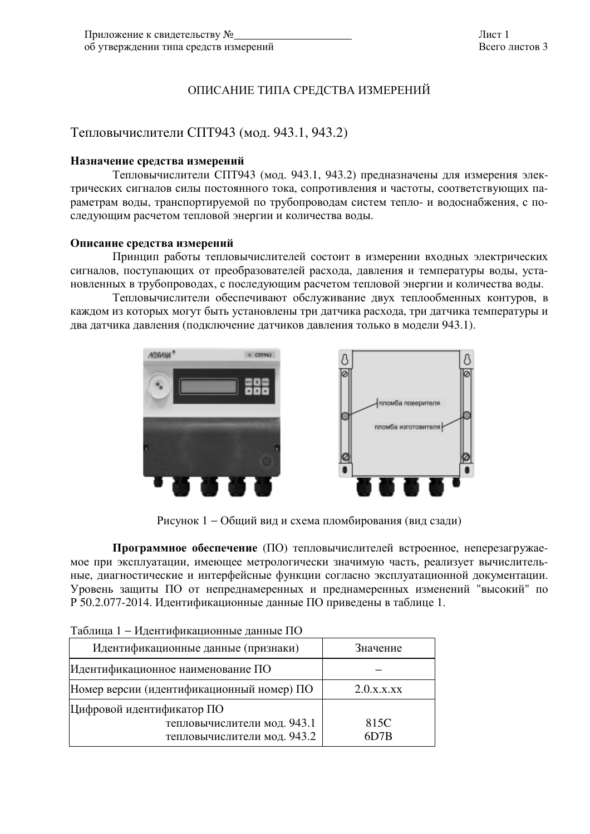# ОПИСАНИЕ ТИПА СРЕДСТВА ИЗМЕРЕНИЙ

Тепловычислители СПТ943 (мод. 943.1, 943.2)

# Назначение средства измерений

Тепловычислители СПТ943 (мод. 943.1, 943.2) предназначены для измерения электрических сигналов силы постоянного тока, сопротивления и частоты, соответствующих параметрам воды, транспортируемой по трубопроводам систем тепло- и водоснабжения, с последующим расчетом тепловой энергии и количества воды.

# Описание средства измерений

Принцип работы тепловычислителей состоит в измерении входных электрических сигналов, поступающих от преобразователей расхода, давления и температуры воды, установленных в трубопроводах, с последующим расчетом тепловой энергии и количества воды.

Тепловычислители обеспечивают обслуживание двух теплообменных контуров, в каждом из которых могут быть установлены три датчика расхода, три датчика температуры и два датчика давления (подключение датчиков давления только в модели 943.1).



Рисунок 1 – Общий вид и схема пломбирования (вид сзади)

Программное обеспечение (ПО) тепловычислителей встроенное, неперезагружаемое при эксплуатации, имеющее метрологически значимую часть, реализует вычислительные, диагностические и интерфейсные функции согласно эксплуатационной документации. Уровень защиты ПО от непреднамеренных и преднамеренных изменений "высокий" по Р 50.2.077-2014. Идентификационные данные ПО приведены в таблице 1.

| 1 аолица 1 – идентификационные данные ПО                                                |              |
|-----------------------------------------------------------------------------------------|--------------|
| Идентификационные данные (признаки)                                                     | Значение     |
| Идентификационное наименование ПО                                                       |              |
| Номер версии (идентификационный номер) ПО                                               | 2.0.x.x.xx   |
| Цифровой идентификатор ПО<br>тепловычислители мод. 943.1<br>тепловычислители мод. 943.2 | 815C<br>6D7B |

|  | Таблица 1 – Идентификационные данные ПО |  |
|--|-----------------------------------------|--|
|  |                                         |  |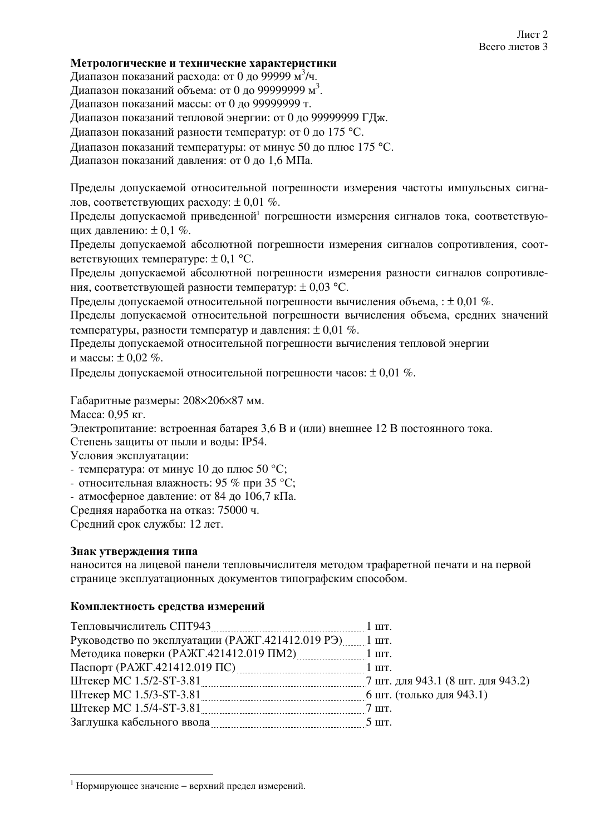# Метрологические и технические характеристики

Диапазон показаний расхода: от 0 до 99999 м<sup>3</sup>/ч.

Диапазон показаний объема: от 0 до 99999999 м<sup>3</sup>.

Диапазон показаний массы: от 0 до 99999999 т.

Диапазон показаний тепловой энергии: от 0 до 99999999 ГДж.

Диапазон показаний разности температур: от 0 до 175 °С.

Диапазон показаний температуры: от минус 50 до плюс 175 °С.

Диапазон показаний давления: от 0 до 1,6 МПа.

Пределы допускаемой относительной погрешности измерения частоты импульсных сигналов. соответствующих расходу:  $\pm 0.01$  %.

Пределы допускаемой приведенной<sup>1</sup> погрешности измерения сигналов тока, соответствующих давлению:  $\pm$  0,1 %.

Пределы допускаемой абсолютной погрешности измерения сигналов сопротивления, соответствующих температуре:  $\pm$  0,1 °C.

Пределы допускаемой абсолютной погрешности измерения разности сигналов сопротивления, соответствующей разности температур:  $\pm$  0.03 °C.

Пределы допускаемой относительной погрешности вычисления объема.:  $\pm 0.01$  %.

Пределы допускаемой относительной погрешности вычисления объема, средних значений температуры, разности температур и давления:  $\pm 0.01$  %.

Пределы допускаемой относительной погрешности вычисления тепловой энергии и массы:  $\pm 0.02 \%$ .

Пределы допускаемой относительной погрешности часов:  $\pm 0.01$  %.

Габаритные размеры: 208×206×87 мм.

Масса: 0,95 кг.

Электропитание: встроенная батарея 3,6 В и (или) внешнее 12 В постоянного тока.

Степень зашиты от пыли и волы: IP54.

Условия эксплуатации:

- температура: от минус 10 до плюс 50 °С;
- относительная влажность: 95 % при 35 °С:
- атмосферное давление: от 84 до 106,7 кПа.
- Средняя наработка на отказ: 75000 ч.

Средний срок службы: 12 лет.

# Знак утверждения типа

наносится на лицевой панели тепловычислителя методом трафаретной печати и на первой странице эксплуатационных документов типографским способом.

# Комплектность средства измерений

| Руководство по эксплуатации (РАЖГ.421412.019 РЭ) 1 шт.         |             |
|----------------------------------------------------------------|-------------|
| Методика поверки (РАЖГ.421412.019 ПМ2) 1 шт.                   |             |
|                                                                |             |
| Штекер МС 1.5/2-ST-3.81 [11] 7 шт. для 943.1 (8 шт. для 943.2) |             |
| Штекер МС 1.5/3-ST-3.81 [11] 6 шт. (только для 943.1)          |             |
| Штекер МС 1.5/4-ST-3.81 7 шт.                                  |             |
|                                                                | $5 \mu T$ . |
|                                                                |             |

<sup>1</sup> Нормирующее значение - верхний предел измерений.